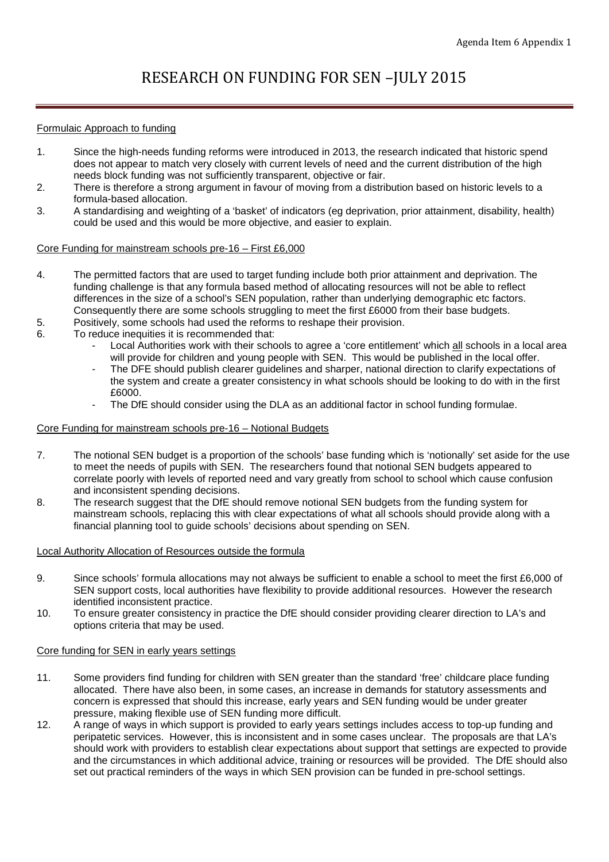# RESEARCH ON FUNDING FOR SEN –JULY 2015

## Formulaic Approach to funding

- 1. Since the high-needs funding reforms were introduced in 2013, the research indicated that historic spend does not appear to match very closely with current levels of need and the current distribution of the high needs block funding was not sufficiently transparent, objective or fair.
- 2. There is therefore a strong argument in favour of moving from a distribution based on historic levels to a formula-based allocation.
- 3. A standardising and weighting of a 'basket' of indicators (eg deprivation, prior attainment, disability, health) could be used and this would be more objective, and easier to explain.

### Core Funding for mainstream schools pre-16 – First £6,000

- 4. The permitted factors that are used to target funding include both prior attainment and deprivation. The funding challenge is that any formula based method of allocating resources will not be able to reflect differences in the size of a school's SEN population, rather than underlying demographic etc factors. Consequently there are some schools struggling to meet the first £6000 from their base budgets.
- 5. Positively, some schools had used the reforms to reshape their provision.
- 6. To reduce inequities it is recommended that:
	- Local Authorities work with their schools to agree a 'core entitlement' which all schools in a local area will provide for children and young people with SEN. This would be published in the local offer.
	- The DFE should publish clearer guidelines and sharper, national direction to clarify expectations of the system and create a greater consistency in what schools should be looking to do with in the first £6000.
	- The DfE should consider using the DLA as an additional factor in school funding formulae.

### Core Funding for mainstream schools pre-16 – Notional Budgets

- 7. The notional SEN budget is a proportion of the schools' base funding which is 'notionally' set aside for the use to meet the needs of pupils with SEN. The researchers found that notional SEN budgets appeared to correlate poorly with levels of reported need and vary greatly from school to school which cause confusion and inconsistent spending decisions.
- 8. The research suggest that the DfE should remove notional SEN budgets from the funding system for mainstream schools, replacing this with clear expectations of what all schools should provide along with a financial planning tool to guide schools' decisions about spending on SEN.

### Local Authority Allocation of Resources outside the formula

- 9. Since schools' formula allocations may not always be sufficient to enable a school to meet the first £6,000 of SEN support costs, local authorities have flexibility to provide additional resources. However the research identified inconsistent practice.
- 10. To ensure greater consistency in practice the DfE should consider providing clearer direction to LA's and options criteria that may be used.

### Core funding for SEN in early years settings

- 11. Some providers find funding for children with SEN greater than the standard 'free' childcare place funding allocated. There have also been, in some cases, an increase in demands for statutory assessments and concern is expressed that should this increase, early years and SEN funding would be under greater pressure, making flexible use of SEN funding more difficult.
- 12. A range of ways in which support is provided to early years settings includes access to top-up funding and peripatetic services. However, this is inconsistent and in some cases unclear. The proposals are that LA's should work with providers to establish clear expectations about support that settings are expected to provide and the circumstances in which additional advice, training or resources will be provided. The DfE should also set out practical reminders of the ways in which SEN provision can be funded in pre-school settings.